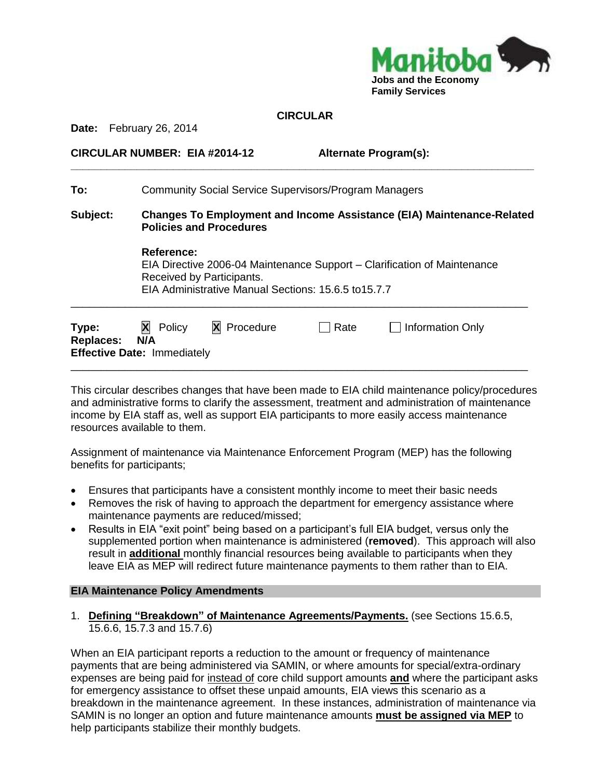

| <b>CIRCULAR</b> |  |
|-----------------|--|
|-----------------|--|

**\_\_\_\_\_\_\_\_\_\_\_\_\_\_\_\_\_\_\_\_\_\_\_\_\_\_\_\_\_\_\_\_\_\_\_\_\_\_\_\_\_\_\_\_\_\_\_\_\_\_\_\_\_\_\_\_\_\_\_\_\_\_\_\_\_\_\_\_\_\_\_\_\_\_\_\_\_**

**Date:** February 26, 2014

#### **CIRCULAR NUMBER: EIA #2014-12 Alternate Program(s):**

| To:                       | <b>Community Social Service Supervisors/Program Managers</b>                                                                                                                       |             |      |                  |
|---------------------------|------------------------------------------------------------------------------------------------------------------------------------------------------------------------------------|-------------|------|------------------|
| Subject:                  | <b>Changes To Employment and Income Assistance (EIA) Maintenance-Related</b><br><b>Policies and Procedures</b>                                                                     |             |      |                  |
|                           | <b>Reference:</b><br>EIA Directive 2006-04 Maintenance Support – Clarification of Maintenance<br>Received by Participants.<br>EIA Administrative Manual Sections: 15.6.5 to 15.7.7 |             |      |                  |
| Type:<br><b>Replaces:</b> | X<br>Policy<br>N/A<br><b>Effective Date: Immediately</b>                                                                                                                           | X Procedure | Rate | Information Only |

This circular describes changes that have been made to EIA child maintenance policy/procedures and administrative forms to clarify the assessment, treatment and administration of maintenance income by EIA staff as, well as support EIA participants to more easily access maintenance resources available to them.

\_\_\_\_\_\_\_\_\_\_\_\_\_\_\_\_\_\_\_\_\_\_\_\_\_\_\_\_\_\_\_\_\_\_\_\_\_\_\_\_\_\_\_\_\_\_\_\_\_\_\_\_\_\_\_\_\_\_\_\_\_\_\_\_\_\_\_\_\_\_\_\_\_\_\_\_

Assignment of maintenance via Maintenance Enforcement Program (MEP) has the following benefits for participants;

- Ensures that participants have a consistent monthly income to meet their basic needs
- Removes the risk of having to approach the department for emergency assistance where maintenance payments are reduced/missed;
- Results in EIA "exit point" being based on a participant's full EIA budget, versus only the supplemented portion when maintenance is administered (**removed**). This approach will also result in **additional** monthly financial resources being available to participants when they leave EIA as MEP will redirect future maintenance payments to them rather than to EIA.

### **EIA Maintenance Policy Amendments**

1. **Defining "Breakdown" of Maintenance Agreements/Payments.** (see Sections 15.6.5, 15.6.6, 15.7.3 and 15.7.6)

When an EIA participant reports a reduction to the amount or frequency of maintenance payments that are being administered via SAMIN, or where amounts for special/extra-ordinary expenses are being paid for instead of core child support amounts **and** where the participant asks for emergency assistance to offset these unpaid amounts, EIA views this scenario as a breakdown in the maintenance agreement. In these instances, administration of maintenance via SAMIN is no longer an option and future maintenance amounts **must be assigned via MEP** to help participants stabilize their monthly budgets.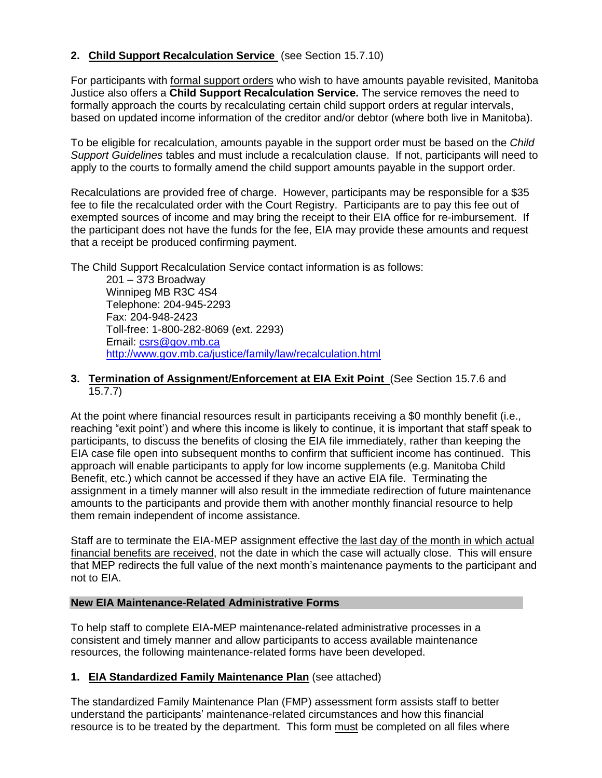## **2. Child Support Recalculation Service** (see Section 15.7.10)

For participants with formal support orders who wish to have amounts payable revisited, Manitoba Justice also offers a **Child Support Recalculation Service.** The service removes the need to formally approach the courts by recalculating certain child support orders at regular intervals, based on updated income information of the creditor and/or debtor (where both live in Manitoba).

To be eligible for recalculation, amounts payable in the support order must be based on the *Child Support Guidelines* tables and must include a recalculation clause. If not, participants will need to apply to the courts to formally amend the child support amounts payable in the support order.

Recalculations are provided free of charge. However, participants may be responsible for a \$35 fee to file the recalculated order with the Court Registry. Participants are to pay this fee out of exempted sources of income and may bring the receipt to their EIA office for re-imbursement. If the participant does not have the funds for the fee, EIA may provide these amounts and request that a receipt be produced confirming payment.

The Child Support Recalculation Service contact information is as follows:

201 – 373 Broadway Winnipeg MB R3C 4S4 Telephone: 204-945-2293 Fax: 204-948-2423 Toll-free: 1-800-282-8069 (ext. 2293) Email: [csrs@gov.mb.ca](mailto:csrs@gov.mb.ca) <http://www.gov.mb.ca/justice/family/law/recalculation.html>

**3. Termination of Assignment/Enforcement at EIA Exit Point** (See Section 15.7.6 and 15.7.7)

At the point where financial resources result in participants receiving a \$0 monthly benefit (i.e., reaching "exit point') and where this income is likely to continue, it is important that staff speak to participants, to discuss the benefits of closing the EIA file immediately, rather than keeping the EIA case file open into subsequent months to confirm that sufficient income has continued. This approach will enable participants to apply for low income supplements (e.g. Manitoba Child Benefit, etc.) which cannot be accessed if they have an active EIA file. Terminating the assignment in a timely manner will also result in the immediate redirection of future maintenance amounts to the participants and provide them with another monthly financial resource to help them remain independent of income assistance.

Staff are to terminate the EIA-MEP assignment effective the last day of the month in which actual financial benefits are received, not the date in which the case will actually close. This will ensure that MEP redirects the full value of the next month's maintenance payments to the participant and not to EIA.

#### **New EIA Maintenance-Related Administrative Forms**

To help staff to complete EIA-MEP maintenance-related administrative processes in a consistent and timely manner and allow participants to access available maintenance resources, the following maintenance-related forms have been developed.

### **1. EIA Standardized Family Maintenance Plan** (see attached)

The standardized Family Maintenance Plan (FMP) assessment form assists staff to better understand the participants' maintenance-related circumstances and how this financial resource is to be treated by the department. This form must be completed on all files where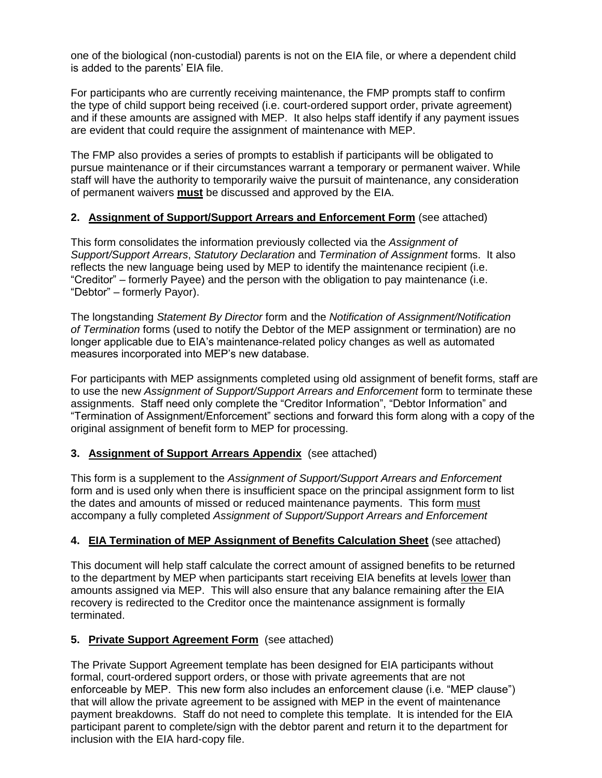one of the biological (non-custodial) parents is not on the EIA file, or where a dependent child is added to the parents' EIA file.

For participants who are currently receiving maintenance, the FMP prompts staff to confirm the type of child support being received (i.e. court-ordered support order, private agreement) and if these amounts are assigned with MEP. It also helps staff identify if any payment issues are evident that could require the assignment of maintenance with MEP.

The FMP also provides a series of prompts to establish if participants will be obligated to pursue maintenance or if their circumstances warrant a temporary or permanent waiver. While staff will have the authority to temporarily waive the pursuit of maintenance, any consideration of permanent waivers **must** be discussed and approved by the EIA.

### **2. Assignment of Support/Support Arrears and Enforcement Form** (see attached)

This form consolidates the information previously collected via the *Assignment of Support/Support Arrears*, *Statutory Declaration* and *Termination of Assignment* forms. It also reflects the new language being used by MEP to identify the maintenance recipient (i.e. "Creditor" – formerly Payee) and the person with the obligation to pay maintenance (i.e. "Debtor" – formerly Payor).

The longstanding *Statement By Director* form and the *Notification of Assignment/Notification of Termination* forms (used to notify the Debtor of the MEP assignment or termination) are no longer applicable due to EIA's maintenance-related policy changes as well as automated measures incorporated into MEP's new database.

For participants with MEP assignments completed using old assignment of benefit forms, staff are to use the new *Assignment of Support/Support Arrears and Enforcement* form to terminate these assignments. Staff need only complete the "Creditor Information", "Debtor Information" and "Termination of Assignment/Enforcement" sections and forward this form along with a copy of the original assignment of benefit form to MEP for processing.

# **3. Assignment of Support Arrears Appendix** (see attached)

This form is a supplement to the *Assignment of Support/Support Arrears and Enforcement* form and is used only when there is insufficient space on the principal assignment form to list the dates and amounts of missed or reduced maintenance payments. This form must accompany a fully completed *Assignment of Support/Support Arrears and Enforcement*

### **4. EIA Termination of MEP Assignment of Benefits Calculation Sheet** (see attached)

This document will help staff calculate the correct amount of assigned benefits to be returned to the department by MEP when participants start receiving EIA benefits at levels lower than amounts assigned via MEP. This will also ensure that any balance remaining after the EIA recovery is redirected to the Creditor once the maintenance assignment is formally terminated.

# **5. Private Support Agreement Form** (see attached)

The Private Support Agreement template has been designed for EIA participants without formal, court-ordered support orders, or those with private agreements that are not enforceable by MEP. This new form also includes an enforcement clause (i.e. "MEP clause") that will allow the private agreement to be assigned with MEP in the event of maintenance payment breakdowns. Staff do not need to complete this template. It is intended for the EIA participant parent to complete/sign with the debtor parent and return it to the department for inclusion with the EIA hard-copy file.